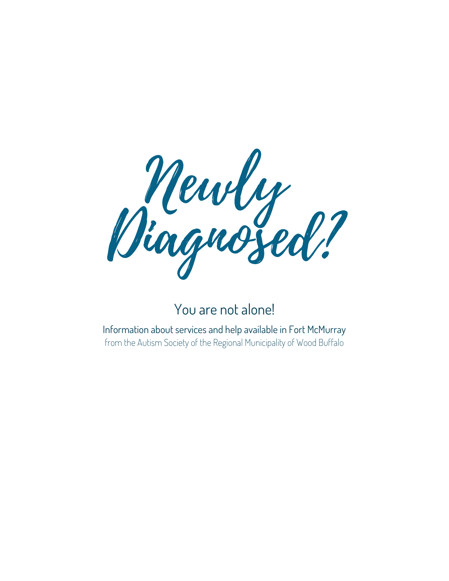

### You are not alone!

Information about services and help available in Fort McMurray from the Autism Society of the Regional Municipality of Wood Buffalo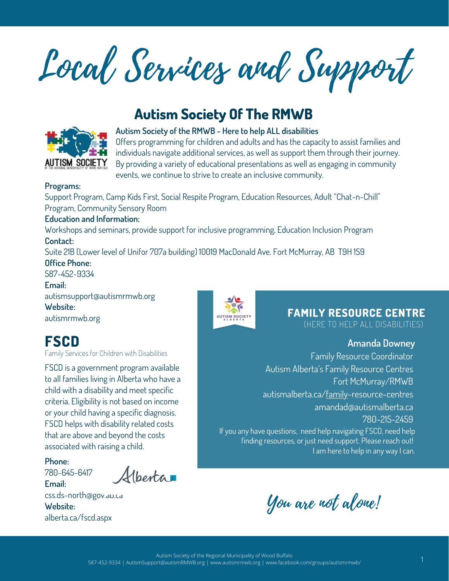Local Services and Support

### **Autism Society Of The RMWB**



**Autism Society of the RMWB - Here to help ALL disabilities**

Offers programming for children and adults and has the capacity to assist families and individuals navigate additional services, as well as support them through their journey. By providing a variety of educational presentations as well as engaging in community events, we continue to strive to create an inclusive community.

#### **Programs:**

Support Program, Camp Kids First, Social Respite Program, Education Resources, Adult "Chat-n-Chill" Program, Community Sensory Room

#### **Education and Information:**

Workshops and seminars, provide support for inclusive programming, Education Inclusion Program **Contact:**

Suite 21B (Lower level of Unifor 707a building) 10019 MacDonald Ave. Fort McMurray, AB T9H 1S9

**Office Phone:**

587-452-9334 **Email:** autismsupport@autismrmwb.org **Website:** autismrmwb.org

### **FSCD**

Family Services for Children with Disabilities

FSCD is a government program available to all families living in Alberta who have a child with a disability and meet specific criteria. Eligibility is not based on income or your child having a specific diagnosis. FSCD helps with disability related costs that are above and beyond the costs associated with raising a child.

**Phone:**

Alberta 780-645-6417

**Email:** css.ds-north@gov.ab.ca **Website:** alberta.ca/fscd.aspx



**FAMILY RESOURCE CENTRE**

(HERE TO HELP ALL DISABILITIES)

#### **Amanda Downey**

Family Resource Coordinator Autism Alberta's Family Resource Centres Fort McMurray/RMWB autismalberta.ca/family-resource-centres amandad@autismalberta.ca 780-215-2459 If you any have questions, need help navigating FSCD, need help finding resources, or just need support. Please reach out! I am here to help in any way I can.

You are not alone!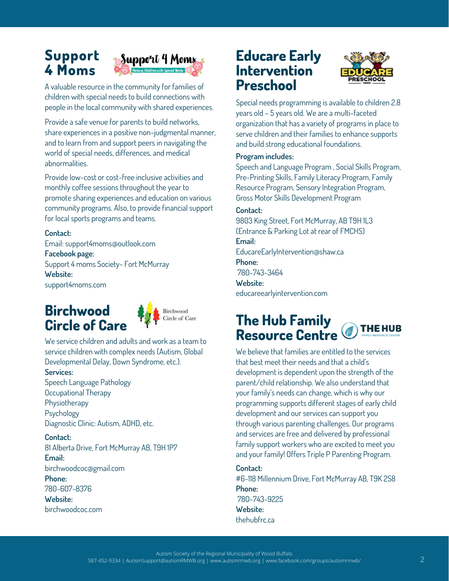### **Support 4 Moms**



A valuable resource in the community for families of children with special needs to build connections with people in the local community with shared experiences.

Provide a safe venue for parents to build networks, share experiences in a positive non-judgmental manner, and to learn from and support peers in navigating the world of special needs, differences, and medical abnormalities.

Provide low-cost or cost-free inclusive activities and monthly coffee sessions throughout the year to promote sharing experiences and education on various community programs. Also, to provide financial support for local sports programs and teams.

#### **Contact:**

Email: support4moms@outlook.com **Facebook page:** Support 4 moms Society- Fort McMurray **Website:** support4moms.com

### **Birchwood Circle of Care**



We service children and adults and work as a team to service children with complex needs (Autism, Global Developmental Delay, Down Syndrome, etc.).

#### **Services:**

Speech Language Pathology Occupational Therapy Physiotherapy Psychology Diagnostic Clinic: Autism, ADHD, etc.

**Contact:** 81 Alberta Drive, Fort McMurray AB, T9H 1P7 **Email:** birchwoodcoc@gmail.com **Phone:** 780-607-8376

**Website:**

birchwoodcoc.com

### **Educare Early Intervention Preschool**



Special needs programming is available to children 2.8 years old – 5 years old. We are a multi-faceted organization that has a variety of programs in place to serve children and their families to enhance supports and build strong educational foundations.

#### **Program includes:**

Speech and Language Program , Social Skills Program, Pre-Printing Skills, Family Literacy Program, Family Resource Program, Sensory Integration Program, Gross Motor Skills Development Program

#### **Contact:**

9803 King Street, Fort McMurray, AB T9H 1L3 (Entrance & Parking Lot at rear of FMCHS) **Email:** EducareEarlyIntervention@shaw.ca

**Phone:**

780-743-3464

**Website:** educareearlyintervention.com

### **The Hub Family THE HUB Resource Centre**

We believe that families are entitled to the services that best meet their needs and that a child's development is dependent upon the strength of the parent/child relationship. We also understand that your family's needs can change, which is why our programming supports different stages of early child development and our services can support you through various parenting challenges. Our programs and services are free and delivered by professional family support workers who are excited to meet you and your family! Offers Triple P Parenting Program.

### **Contact:**

#6-118 Millennium Drive, Fort McMurray AB, T9K 2S8 **Phone:** 780-743-9225 **Website:**

thehubfrc.ca

Autism Society of the Regional Municipality of Wood Buffalo

587-452-9334 | AutismSupport@autismRMWB.org | www.autismrmwb.org | www.facebook.com/groups/autismrmwb/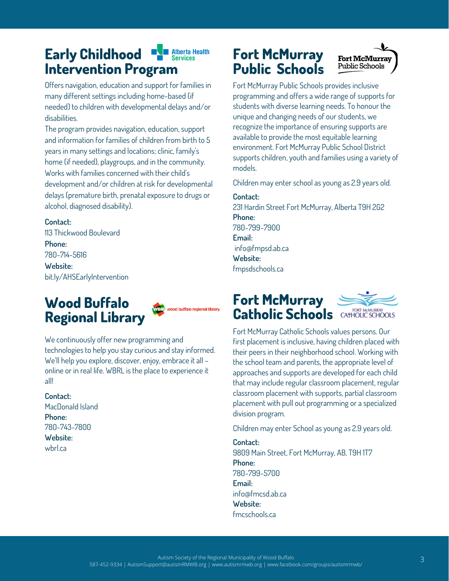#### **Early Childhood National Manual Alberta Health Intervention Program**

Offers navigation, education and support for families in many different settings including home-based (if needed) to children with developmental delays and/or disabilities.

The program provides navigation, education, support and information for families of children from birth to 5 years in many settings and locations; clinic, family's home (if needed), playgroups, and in the community. Works with families concerned with their child's development and/or children at risk for developmental delays (premature birth, prenatal exposure to drugs or alcohol, diagnosed disability).

#### **Contact:**

113 Thickwood Boulevard **Phone:** 780-714-5616 **Website:** bit.ly/AHSEarlyIntervention

### **Wood Buffalo Regional Library**



We continuously offer new programming and technologies to help you stay curious and stay informed. We'll help you explore, discover, enjoy, embrace it all – online or in real life. WBRL is the place to experience it all!

#### **Contact:**

MacDonald Island **Phone:** 780-743-7800 **Website:** wbrl.ca

### **Fort McMurray** Fort McMurray **Public Schools**



Fort McMurray Public Schools provides inclusive programming and offers a wide range of supports for students with diverse learning needs. To honour the unique and changing needs of our students, we recognize the importance of ensuring supports are available to provide the most equitable learning environment. Fort McMurray Public School District supports children, youth and families using a variety of models.

Children may enter school as young as 2.9 years old.

#### **Contact:**

231 Hardin Street Fort McMurray, Alberta T9H 2G2 **Phone:** 780-799-7900 **Email:** info@fmpsd.ab.ca **Website:** fmpsdschools.ca

### **Fort McMurray** Catholic **Schools** CATHOLIC SCHOOLS



Fort McMurray Catholic Schools values persons. Our first placement is inclusive, having children placed with their peers in their neighborhood school. Working with the school team and parents, the appropriate level of approaches and supports are developed for each child that may include regular classroom placement, regular classroom placement with supports, partial classroom placement with pull out programming or a specialized division program.

Children may enter School as young as 2.9 years old.

**Contact:** 9809 Main Street, Fort McMurray, AB, T9H 1T7 **Phone:** 780-799-5700 **Email:** info@fmcsd.ab.ca **Website:** fmcschools.ca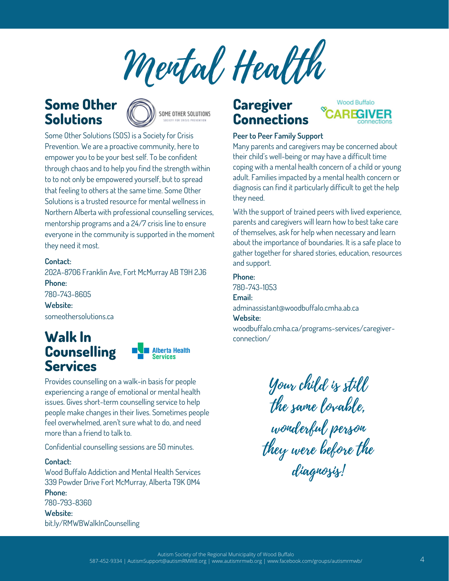Mental Health

### **Some Other Solutions**



Some Other Solutions (SOS) is a Society for Crisis Prevention. We are a proactive community, here to empower you to be your best self. To be confident through chaos and to help you find the strength within to to not only be empowered yourself, but to spread that feeling to others at the same time. Some Other Solutions is a trusted resource for mental wellness in Northern Alberta with professional counselling services, mentorship programs and a 24/7 crisis line to ensure everyone in the community is supported in the moment they need it most.

#### **Contact:**

202A-8706 Franklin Ave, Fort McMurray AB T9H 2J6 **Phone:** 780-743-8605 **Website:** someothersolutions.ca

# **Counselling Services**



Provides counselling on a walk-in basis for people experiencing a range of emotional or mental health issues. Gives short-term counselling service to help people make changes in their lives. Sometimes people feel overwhelmed, aren't sure what to do, and need more than a friend to talk to.

Confidential counselling sessions are 50 minutes.

#### **Contact:**

Wood Buffalo Addiction and Mental Health Services 339 Powder Drive Fort McMurray, Alberta T9K 0M4 **Phone:** 780-793-8360

**Website:** bit.ly/RMWBWalkInCounselling

### **Caregiver Connections**



#### **Peer to Peer Family Support**

Many parents and caregivers may be concerned about their child's well-being or may have a difficult time coping with a mental health concern of a child or young adult. Families impacted by a mental health concern or diagnosis can find it particularly difficult to get the help they need.

With the support of trained peers with lived experience, parents and caregivers will learn how to best take care of themselves, ask for help when necessary and learn about the importance of boundaries. It is a safe place to gather together for shared stories, education, resources and support.

#### **Phone:**

780-743-1053

#### **Email:**

adminassistant@woodbuffalo.cmha.ab.ca **Website:**

woodbuffalo.cmha.ca/programs-services/caregiver- **Walk In** connection/

Your child is still the same lovable, wonderful person they were before the diagnosis!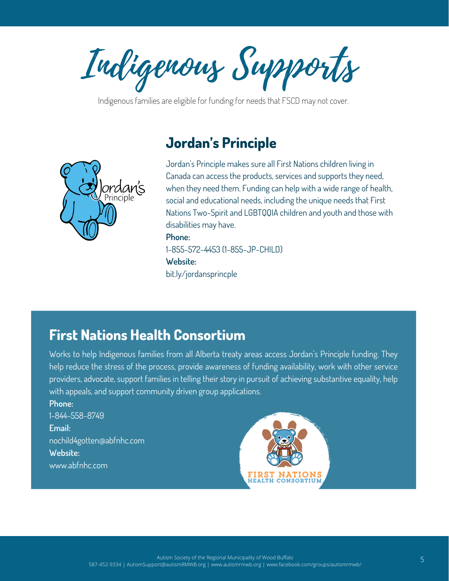Indigenous Supports

MONTHLY NEWSLETTER

Indigenous families are eligible for funding for needs that FSCD may not cover.

### **Jordan's Principle**



Jordan's Principle makes sure all First Nations children living in Canada can access the products, services and supports they need, when they need them. Funding can help with a wide range of health, social and educational needs, including the unique needs that First Nations Two-Spirit and LGBTQQIA children and youth and those with disabilities may have. **Phone:**

1-855-572-4453 (1-855-JP-CHILD) **Website:**

bit.ly/jordansprincple

### **First Nations Health Consortium**

Works to help Indigenous families from all Alberta treaty areas access Jordan's Principle funding. They help reduce the stress of the process, provide awareness of funding availability, work with other service providers, advocate, support families in telling their story in pursuit of achieving substantive equality, help with appeals, and support community driven group applications.

**Phone:** 1-844-558-8749 **Email:** nochild4gotten@abfnhc.com **Website:** www.abfnhc.com

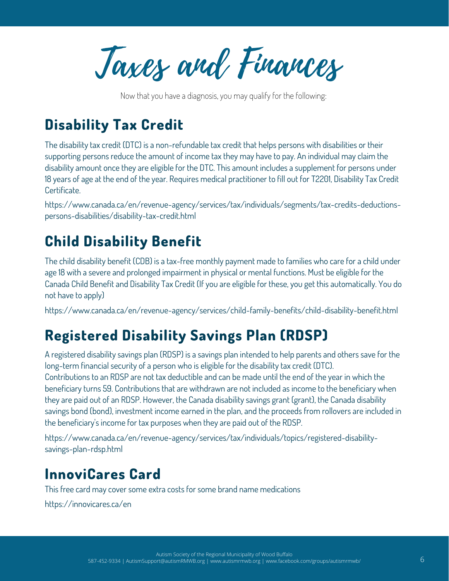Taxes and Finances

Now that you have a diagnosis, you may qualify for the following:

### **Disability Tax Credit**

The disability tax credit (DTC) is a non-refundable tax credit that helps persons with disabilities or their supporting persons reduce the amount of income tax they may have to pay. An individual may claim the disability amount once they are eligible for the DTC. This amount includes a supplement for persons under 18 years of age at the end of the year. Requires medical practitioner to fill out for T2201, Disability Tax Credit Certificate.

https://www.canada.ca/en/revenue-agency/services/tax/individuals/segments/tax-credits-deductions persons-disabilities/disability-tax-credit.html

## **Child Disability Benefit**

The child disability benefit (CDB) is a tax-free monthly payment made to families who care for a child under age 18 with a severe and prolonged impairment in physical or mental functions. Must be eligible for the Canada Child Benefit and Disability Tax Credit (If you are eligible for these, you get this automatically. You do not have to apply)

https://www.canada.ca/en/revenue-agency/services/child-family-benefits/child-disability-benefit.html

### **Registered Disability Savings Plan (RDSP)**

A registered disability savings plan (RDSP) is a savings plan intended to help parents and others save for the long-term financial security of a person who is eligible for the disability tax credit (DTC). Contributions to an RDSP are not tax deductible and can be made until the end of the year in which the beneficiary turns 59. Contributions that are withdrawn are not included as income to the beneficiary when they are paid out of an RDSP. However, the Canada disability savings grant (grant), the Canada disability savings bond (bond), investment income earned in the plan, and the proceeds from rollovers are included in the beneficiary's income for tax purposes when they are paid out of the RDSP.

https://www.canada.ca/en/revenue-agency/services/tax/individuals/topics/registered-disabilitysavings-plan-rdsp.html

### **InnoviCares Card**

This free card may cover some extra costs for some brand name medications

https://innovicares.ca/en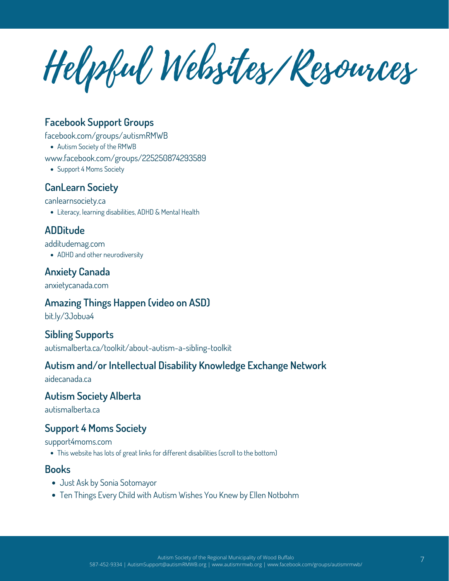Helpful Websites/Resources

### **Facebook Support Groups**

facebook.com/groups/autismRMWB

Autism Society of the RMWB

www.facebook.com/groups/225250874293589

• Support 4 Moms Society

### **CanLearn Society**

canlearnsociety.ca

Literacy, learning disabilities, ADHD & Mental Health

### **ADDitude**

additudemag.com

ADHD and other neurodiversity

### **Anxiety Canada**

anxietycanada.com

### **Amazing Things Happen (video on ASD)**

bit.ly/3Jobua4

### **Sibling Supports**

autismalberta.ca/toolkit/about-autism-a-sibling-toolkit

### **Autism and/or Intellectual Disability Knowledge Exchange Network**

aidecanada.ca

### **Autism Society Alberta**

autismalberta.ca

### **Support 4 Moms Society**

support4moms.com

This website has lots of great links for different disabilities (scroll to the bottom)

### **Books**

- Just Ask by Sonia Sotomayor
- Ten Things Every Child with Autism Wishes You Knew by Ellen Notbohm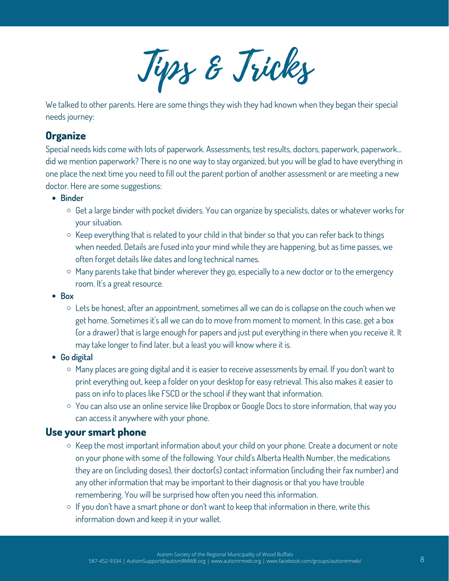Tips & Tricks

We talked to other parents. Here are some things they wish they had known when they began their special needs journey:

### **Organize**

Special needs kids come with lots of paperwork. Assessments, test results, doctors, paperwork, paperwork... did we mention paperwork? There is no one way to stay organized, but you will be glad to have everything in one place the next time you need to fill out the parent portion of another assessment or are meeting a new doctor. Here are some suggestions:

- **Binder**
	- $\circ$  Get a large binder with pocket dividers. You can organize by specialists, dates or whatever works for your situation.
	- $\circ$  Keep everything that is related to your child in that binder so that you can refer back to things when needed. Details are fused into your mind while they are happening, but as time passes, we often forget details like dates and long technical names.
	- $\circ$  Many parents take that binder wherever they go, especially to a new doctor or to the emergency room. It's a great resource.
- **Box**
	- $\circ$  Lets be honest, after an appointment, sometimes all we can do is collapse on the couch when we get home. Sometimes it's all we can do to move from moment to moment. In this case, get a box (or a drawer) that is large enough for papers and just put everything in there when you receive it. It may take longer to find later, but a least you will know where it is.
- **Go digital**
	- $\circ$  Many places are going digital and it is easier to receive assessments by email. If you don't want to print everything out, keep a folder on your desktop for easy retrieval. This also makes it easier to pass on info to places like FSCD or the school if they want that information.
	- You can also use an online service like Dropbox or Google Docs to store information, that way you can access it anywhere with your phone.

### **Use your smart phone**

- $\circ$  Keep the most important information about your child on your phone. Create a document or note on your phone with some of the following. Your child's Alberta Health Number, the medications they are on (including doses), their doctor(s) contact information (including their fax number) and any other information that may be important to their diagnosis or that you have trouble remembering. You will be surprised how often you need this information.
- $\circ$  If you don't have a smart phone or don't want to keep that information in there, write this information down and keep it in your wallet.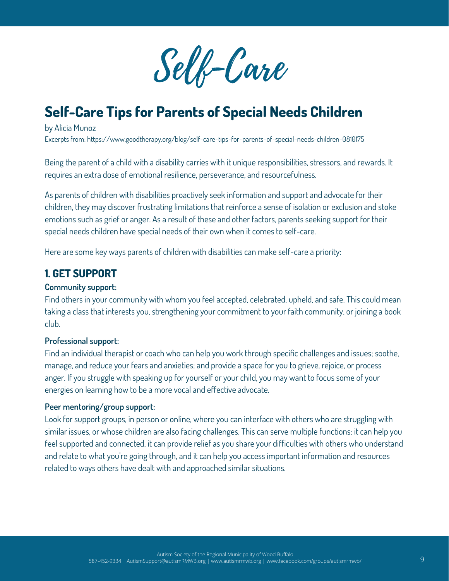

## **Self-Care Tips for Parents of Special Needs Children**

by Alicia Munoz Excerpts from: https://www.goodtherapy.org/blog/self-care-tips-for-parents-of-special-needs-children-0810175

Being the parent of a child with a disability carries with it unique responsibilities, stressors, and rewards. It requires an extra dose of emotional resilience, perseverance, and resourcefulness.

As parents of children with disabilities proactively seek information and support and advocate for their children, they may discover frustrating limitations that reinforce a sense of isolation or exclusion and stoke emotions such as grief or anger. As a result of these and other factors, parents seeking support for their special needs children have special needs of their own when it comes to self-care.

Here are some key ways parents of children with disabilities can make self-care a priority:

### **1. GET SUPPORT**

#### **Community support:**

Find others in your community with whom you feel accepted, celebrated, upheld, and safe. This could mean taking a class that interests you, strengthening your commitment to your faith community, or joining a book club.

#### **Professional support:**

Find an individual therapist or coach who can help you work through specific challenges and issues; soothe, manage, and reduce your fears and anxieties; and provide a space for you to grieve, rejoice, or process anger. If you struggle with speaking up for yourself or your child, you may want to focus some of your energies on learning how to be a more vocal and effective advocate.

#### **Peer mentoring/group support:**

Look for support groups, in person or online, where you can interface with others who are struggling with similar issues, or whose children are also facing challenges. This can serve multiple functions: it can help you feel supported and connected, it can provide relief as you share your difficulties with others who understand and relate to what you're going through, and it can help you access important information and resources related to ways others have dealt with and approached similar situations.